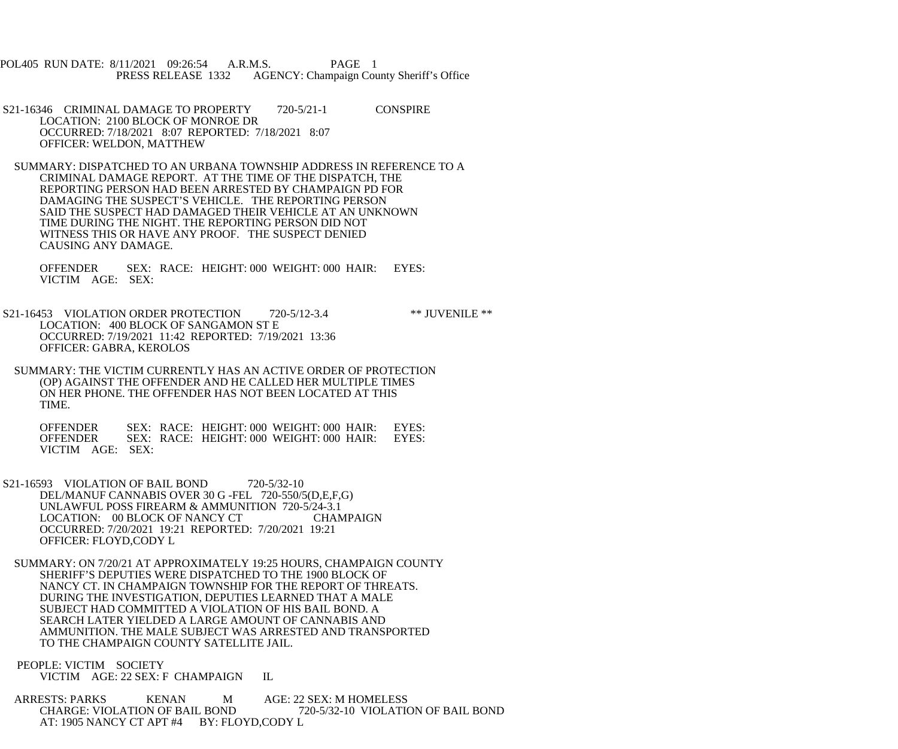POL405 RUN DATE: 8/11/2021 09:26:54 A.R.M.S. PAGE 1 PRESS RELEASE 1332 AGENCY: Champaign County Sheriff's Office

 S21-16346 CRIMINAL DAMAGE TO PROPERTY 720-5/21-1 CONSPIRE LOCATION: 2100 BLOCK OF MONROE DR OCCURRED: 7/18/2021 8:07 REPORTED: 7/18/2021 8:07 OFFICER: WELDON, MATTHEW

 SUMMARY: DISPATCHED TO AN URBANA TOWNSHIP ADDRESS IN REFERENCE TO A CRIMINAL DAMAGE REPORT. AT THE TIME OF THE DISPATCH, THE REPORTING PERSON HAD BEEN ARRESTED BY CHAMPAIGN PD FOR DAMAGING THE SUSPECT'S VEHICLE. THE REPORTING PERSON SAID THE SUSPECT HAD DAMAGED THEIR VEHICLE AT AN UNKNOWN TIME DURING THE NIGHT. THE REPORTING PERSON DID NOT WITNESS THIS OR HAVE ANY PROOF. THE SUSPECT DENIED CAUSING ANY DAMAGE.

 OFFENDER SEX: RACE: HEIGHT: 000 WEIGHT: 000 HAIR: EYES: VICTIM AGE: SEX:

S21-16453 VIOLATION ORDER PROTECTION 720-5/12-3.4 \*\* JUVENILE \*\* LOCATION: 400 BLOCK OF SANGAMON ST E OCCURRED: 7/19/2021 11:42 REPORTED: 7/19/2021 13:36 OFFICER: GABRA, KEROLOS

 SUMMARY: THE VICTIM CURRENTLY HAS AN ACTIVE ORDER OF PROTECTION (OP) AGAINST THE OFFENDER AND HE CALLED HER MULTIPLE TIMES ON HER PHONE. THE OFFENDER HAS NOT BEEN LOCATED AT THIS TIME.

OFFENDER SEX: RACE: HEIGHT: 000 WEIGHT: 000 HAIR: EYES:<br>OFFENDER SEX: RACE: HEIGHT: 000 WEIGHT: 000 HAIR: EYES: SEX: RACE: HEIGHT: 000 WEIGHT: 000 HAIR: EYES: VICTIM AGE: SEX:

S21-16593 VIOLATION OF BAIL BOND 720-5/32-10 DEL/MANUF CANNABIS OVER 30 G -FEL 720-550/5(D,E,F,G) UNLAWFUL POSS FIREARM & AMMUNITION 720-5/24-3.1 LOCATION: 00 BLOCK OF NANCY CT CHAMPAIGN OCCURRED: 7/20/2021 19:21 REPORTED: 7/20/2021 19:21 OFFICER: FLOYD,CODY L

 SUMMARY: ON 7/20/21 AT APPROXIMATELY 19:25 HOURS, CHAMPAIGN COUNTY SHERIFF'S DEPUTIES WERE DISPATCHED TO THE 1900 BLOCK OF NANCY CT. IN CHAMPAIGN TOWNSHIP FOR THE REPORT OF THREATS. DURING THE INVESTIGATION, DEPUTIES LEARNED THAT A MALE SUBJECT HAD COMMITTED A VIOLATION OF HIS BAIL BOND. A SEARCH LATER YIELDED A LARGE AMOUNT OF CANNABIS AND AMMUNITION. THE MALE SUBJECT WAS ARRESTED AND TRANSPORTED TO THE CHAMPAIGN COUNTY SATELLITE JAIL.

 PEOPLE: VICTIM SOCIETY VICTIM AGE: 22 SEX: F CHAMPAIGN IL

ARRESTS: PARKS KENAN M AGE: 22 SEX: M HOMELESS<br>CHARGE: VIOLATION OF BAIL BOND 720-5/32-10 VIOLATION CHARGE: VIOLATION OF BAIL BOND 720-5/32-10 VIOLATION OF BAIL BOND AT: 1905 NANCY CT APT #4 BY: FLOYD,CODY L